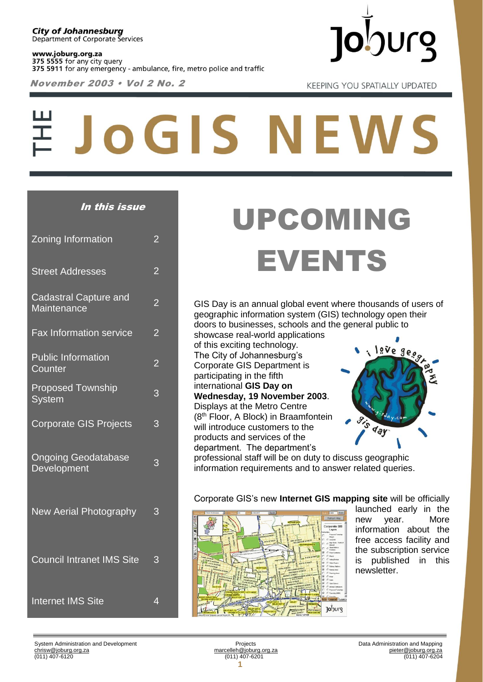www.joburg.org.za 375 5555 for any city query 375 5911 for any emergency - ambulance, fire, metro police and traffic

November 2003 • Vol 2 No. 2



**KEEPING YOU SPATIALLY UPDATED** 

# **JOGIS NEWS**

#### In this issue

| Zoning Information                                 | $\overline{2}$ |
|----------------------------------------------------|----------------|
| <b>Street Addresses</b>                            | $\overline{2}$ |
| <b>Cadastral Capture and</b><br><b>Maintenance</b> | $\overline{2}$ |
| <b>Fax Information service</b>                     | $\overline{2}$ |
| <b>Public Information</b><br>Counter               | $\overline{2}$ |
| <b>Proposed Township</b><br><b>System</b>          | 3              |
| <b>Corporate GIS Projects</b>                      | 3              |
| <b>Ongoing Geodatabase</b><br>Development          | 3              |
| <b>New Aerial Photography</b>                      | 3              |
| <b>Council Intranet IMS Site</b>                   | 3              |
| <b>Internet IMS Site</b>                           | $\overline{4}$ |

## UPCOMING EVENTS

GIS Day is an annual global event where thousands of users of geographic information system (GIS) technology open their doors to businesses, schools and the general public to

showcase real-world applications of this exciting technology. The City of Johannesburg's Corporate GIS Department is participating in the fifth international **GIS Day on Wednesday, 19 November 2003**. Displays at the Metro Centre (8th Floor, A Block) in Braamfontein will introduce customers to the products and services of the department. The department's



professional staff will be on duty to discuss geographic information requirements and to answer related queries.

Corporate GIS's new **Internet GIS mapping site** will be officially launched early in the new year. More information about the free access facility and the subscription service is published in this newsletter.

Joburg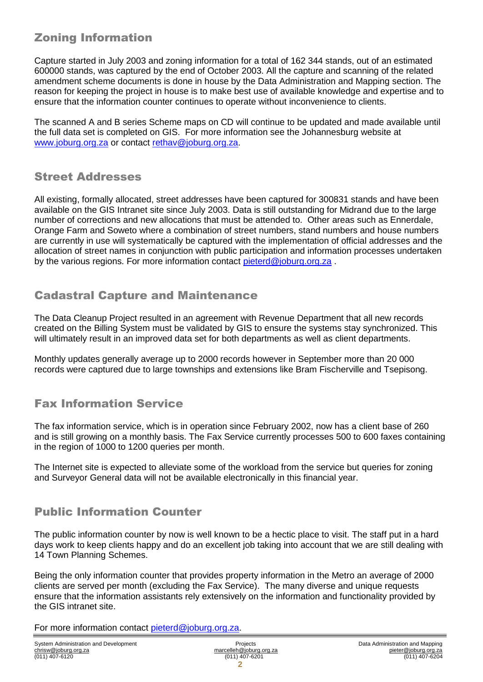#### Zoning Information

Capture started in July 2003 and zoning information for a total of 162 344 stands, out of an estimated 600000 stands, was captured by the end of October 2003. All the capture and scanning of the related amendment scheme documents is done in house by the Data Administration and Mapping section. The reason for keeping the project in house is to make best use of available knowledge and expertise and to ensure that the information counter continues to operate without inconvenience to clients.

The scanned A and B series Scheme maps on CD will continue to be updated and made available until the full data set is completed on GIS. For more information see the Johannesburg website at [www.joburg.org.za](http://www.joburg.org.za/) or contact [rethav@joburg.org.za.](mailto:rethav@joburg.org.za)

#### Street Addresses

All existing, formally allocated, street addresses have been captured for 300831 stands and have been available on the GIS Intranet site since July 2003. Data is still outstanding for Midrand due to the large number of corrections and new allocations that must be attended to. Other areas such as Ennerdale, Orange Farm and Soweto where a combination of street numbers, stand numbers and house numbers are currently in use will systematically be captured with the implementation of official addresses and the allocation of street names in conjunction with public participation and information processes undertaken by the various regions. For more information contact [pieterd@joburg.org.za](mailto:pieterd@joburg.org.za).

#### Cadastral Capture and Maintenance

The Data Cleanup Project resulted in an agreement with Revenue Department that all new records created on the Billing System must be validated by GIS to ensure the systems stay synchronized. This will ultimately result in an improved data set for both departments as well as client departments.

Monthly updates generally average up to 2000 records however in September more than 20 000 records were captured due to large townships and extensions like Bram Fischerville and Tsepisong.

### Fax Information Service

The fax information service, which is in operation since February 2002, now has a client base of 260 and is still growing on a monthly basis. The Fax Service currently processes 500 to 600 faxes containing in the region of 1000 to 1200 queries per month.

The Internet site is expected to alleviate some of the workload from the service but queries for zoning and Surveyor General data will not be available electronically in this financial year.

#### Public Information Counter

The public information counter by now is well known to be a hectic place to visit. The staff put in a hard days work to keep clients happy and do an excellent job taking into account that we are still dealing with 14 Town Planning Schemes.

Being the only information counter that provides property information in the Metro an average of 2000 clients are served per month (excluding the Fax Service). The many diverse and unique requests ensure that the information assistants rely extensively on the information and functionality provided by the GIS intranet site.

For more information contact [pieterd@joburg.org.za.](mailto:pieterd@joburg.org.za)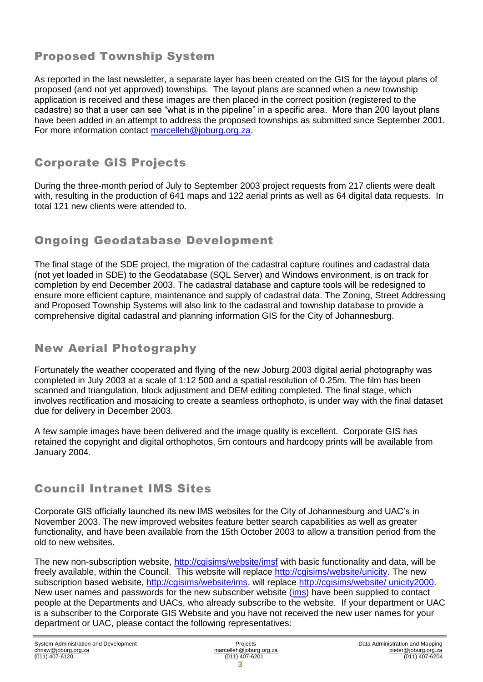#### Proposed Township System

As reported in the last newsletter, a separate layer has been created on the GIS for the layout plans of proposed (and not yet approved) townships. The layout plans are scanned when a new township application is received and these images are then placed in the correct position (registered to the cadastre) so that a user can see "what is in the pipeline" in a specific area. More than 200 layout plans have been added in an attempt to address the proposed townships as submitted since September 2001. For more information contact [marcelleh@joburg.org.za.](mailto:marcelleh@joburg.org.za)

#### Corporate GIS Projects

During the three-month period of July to September 2003 project requests from 217 clients were dealt with, resulting in the production of 641 maps and 122 aerial prints as well as 64 digital data requests. In total 121 new clients were attended to.

#### Ongoing Geodatabase Development

The final stage of the SDE project, the migration of the cadastral capture routines and cadastral data (not yet loaded in SDE) to the Geodatabase (SQL Server) and Windows environment, is on track for completion by end December 2003. The cadastral database and capture tools will be redesigned to ensure more efficient capture, maintenance and supply of cadastral data. The Zoning, Street Addressing and Proposed Township Systems will also link to the cadastral and township database to provide a comprehensive digital cadastral and planning information GIS for the City of Johannesburg.

#### New Aerial Photography

Fortunately the weather cooperated and flying of the new Joburg 2003 digital aerial photography was completed in July 2003 at a scale of 1:12 500 and a spatial resolution of 0.25m. The film has been scanned and triangulation, block adjustment and DEM editing completed. The final stage, which involves rectification and mosaicing to create a seamless orthophoto, is under way with the final dataset due for delivery in December 2003.

A few sample images have been delivered and the image quality is excellent. Corporate GIS has retained the copyright and digital orthophotos, 5m contours and hardcopy prints will be available from January 2004.

#### Council Intranet IMS Sites

Corporate GIS officially launched its new IMS websites for the City of Johannesburg and UAC's in November 2003. The new improved websites feature better search capabilities as well as greater functionality, and have been available from the 15th October 2003 to allow a transition period from the old to new websites.

The new non-subscription website,<http://cgisims/website/imsf> with basic functionality and data, will be freely available, within the Council. This website will replace [http://cgisims/website/unicity.](http://cgisims/website/unicity) The new subscription based website, [http://cgisims/website/ims,](http://cgisims/website/ims) will replace [http://cgisims/website/ unicity2000.](http://cgisims/website/%20unicity2000) New user names and passwords for the new subscriber website [\(ims\)](http://cgisims/website/ims) have been supplied to contact people at the Departments and UACs, who already subscribe to the website. If your department or UAC is a subscriber to the Corporate GIS Website and you have not received the new user names for your department or UAC, please contact the following representatives: